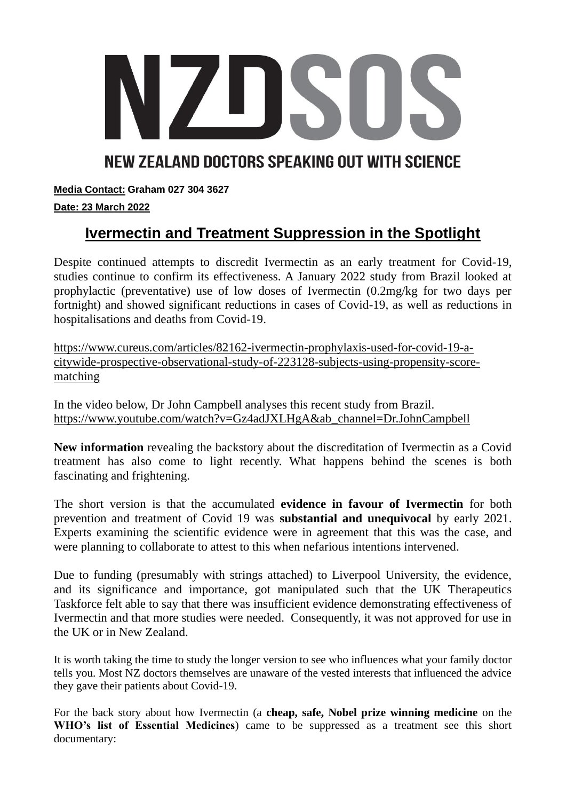

## NEW ZEALAND DOCTORS SPEAKING OUT WITH SCIENCE

**Media Contact: Graham 027 304 3627**

## **Date: 23 March 2022**

# **Ivermectin and Treatment Suppression in the Spotlight**

Despite continued attempts to discredit Ivermectin as an early treatment for Covid-19, studies continue to confirm its effectiveness. A January 2022 study from Brazil looked at prophylactic (preventative) use of low doses of Ivermectin (0.2mg/kg for two days per fortnight) and showed significant reductions in cases of Covid-19, as well as reductions in hospitalisations and deaths from Covid-19.

[https://www.cureus.com/articles/82162-ivermectin-prophylaxis-used-for-covid-19-a](https://www.cureus.com/articles/82162-ivermectin-prophylaxis-used-for-covid-19-a-citywide-prospective-observational-study-of-223128-subjects-using-propensity-score-matching)[citywide-prospective-observational-study-of-223128-subjects-using-propensity-score](https://www.cureus.com/articles/82162-ivermectin-prophylaxis-used-for-covid-19-a-citywide-prospective-observational-study-of-223128-subjects-using-propensity-score-matching)[matching](https://www.cureus.com/articles/82162-ivermectin-prophylaxis-used-for-covid-19-a-citywide-prospective-observational-study-of-223128-subjects-using-propensity-score-matching)

In the video below, Dr John Campbell analyses this recent study from Brazil. [https://www.youtube.com/watch?v=Gz4adJXLHgA&ab\\_channel=Dr.JohnCampbell](https://www.youtube.com/watch?v=Gz4adJXLHgA&ab_channel=Dr.JohnCampbell)

**New information** revealing the backstory about the discreditation of Ivermectin as a Covid treatment has also come to light recently. What happens behind the scenes is both fascinating and frightening.

The short version is that the accumulated **evidence in favour of Ivermectin** for both prevention and treatment of Covid 19 was **substantial and unequivocal** by early 2021. Experts examining the scientific evidence were in agreement that this was the case, and were planning to collaborate to attest to this when nefarious intentions intervened.

Due to funding (presumably with strings attached) to Liverpool University, the evidence, and its significance and importance, got manipulated such that the UK Therapeutics Taskforce felt able to say that there was insufficient evidence demonstrating effectiveness of Ivermectin and that more studies were needed. Consequently, it was not approved for use in the UK or in New Zealand.

It is worth taking the time to study the longer version to see who influences what your family doctor tells you. Most NZ doctors themselves are unaware of the vested interests that influenced the advice they gave their patients about Covid-19.

For the back story about how Ivermectin (a **cheap, safe, Nobel prize winning medicine** on the **WHO's list of Essential Medicines**) came to be suppressed as a treatment see this short documentary: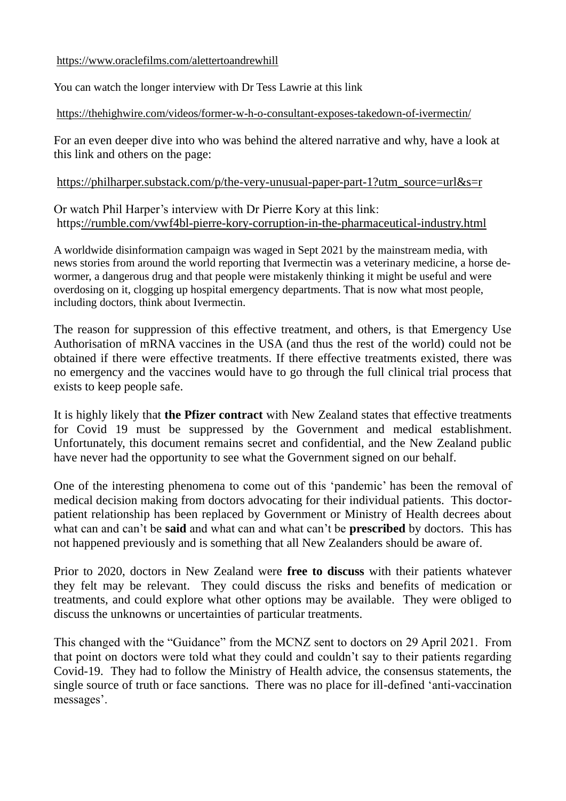<https://www.oraclefilms.com/alettertoandrewhill>

You can watch the longer interview with Dr Tess Lawrie at this link

#### <https://thehighwire.com/videos/former-w-h-o-consultant-exposes-takedown-of-ivermectin/>

For an even deeper dive into who was behind the altered narrative and why, have a look at this link and others on the page:

[https://philharper.substack.com/p/the-very-unusual-paper-part-1?utm\\_source=url&s=r](https://philharper.substack.com/p/the-very-unusual-paper-part-1?utm_source=url&s=r) 

Or watch Phil Harper's interview with Dr Pierre Kory at this link: <https://rumble.com/vwf4bl-pierre-kory-corruption-in-the-pharmaceutical-industry.html>

A worldwide disinformation campaign was waged in Sept 2021 by the mainstream media, with news stories from around the world reporting that Ivermectin was a veterinary medicine, a horse dewormer, a dangerous drug and that people were mistakenly thinking it might be useful and were overdosing on it, clogging up hospital emergency departments. That is now what most people, including doctors, think about Ivermectin.

The reason for suppression of this effective treatment, and others, is that Emergency Use Authorisation of mRNA vaccines in the USA (and thus the rest of the world) could not be obtained if there were effective treatments. If there effective treatments existed, there was no emergency and the vaccines would have to go through the full clinical trial process that exists to keep people safe.

It is highly likely that **the Pfizer contract** with New Zealand states that effective treatments for Covid 19 must be suppressed by the Government and medical establishment. Unfortunately, this document remains secret and confidential, and the New Zealand public have never had the opportunity to see what the Government signed on our behalf.

One of the interesting phenomena to come out of this 'pandemic' has been the removal of medical decision making from doctors advocating for their individual patients. This doctorpatient relationship has been replaced by Government or Ministry of Health decrees about what can and can't be **said** and what can and what can't be **prescribed** by doctors. This has not happened previously and is something that all New Zealanders should be aware of.

Prior to 2020, doctors in New Zealand were **free to discuss** with their patients whatever they felt may be relevant. They could discuss the risks and benefits of medication or treatments, and could explore what other options may be available. They were obliged to discuss the unknowns or uncertainties of particular treatments.

This changed with the "Guidance" from the MCNZ sent to doctors on 29 April 2021. From that point on doctors were told what they could and couldn't say to their patients regarding Covid-19. They had to follow the Ministry of Health advice, the consensus statements, the single source of truth or face sanctions. There was no place for ill-defined 'anti-vaccination messages'.